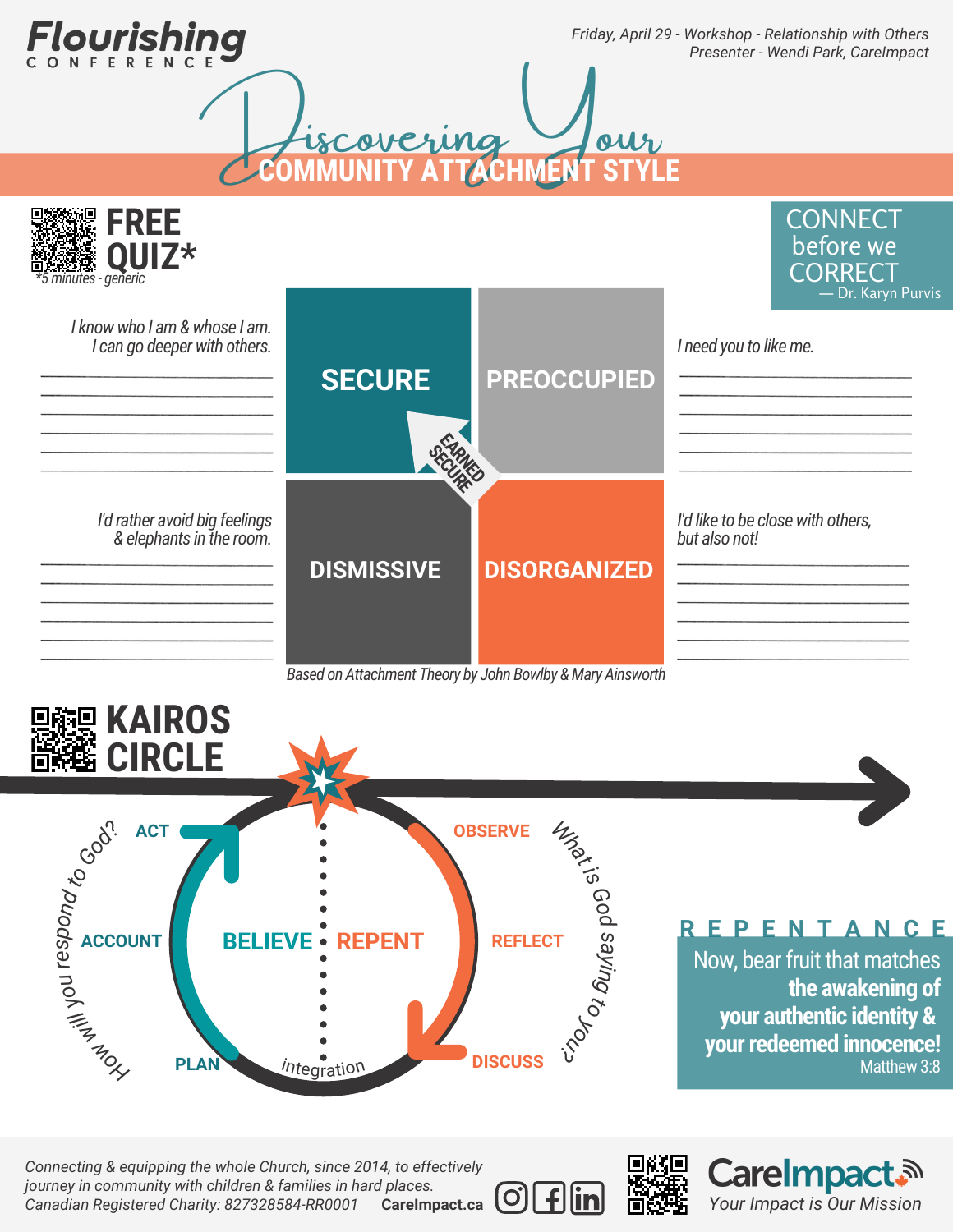Tourishii

*Friday, April 29 - Workshop - Relationship with Others Presenter - Wendi Park, CareImpact*



*Based on Attachment Theory by John Bowlby &Mary Ainsworth*



*Connecting & equipping the whole Church, since 2014, to effectively journey in community with children & families in hard places. Canadian Registered Charity: 827328584-RR0001* **CareImpact.ca**